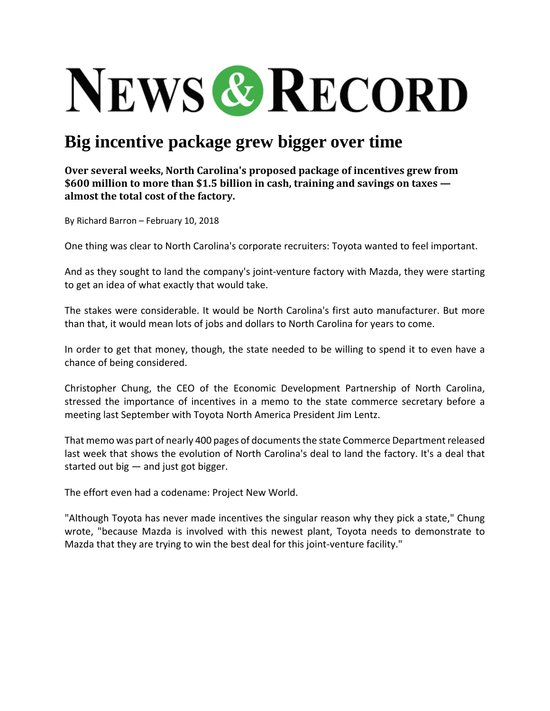## **NEWS & RECORD**

## **Big incentive package grew bigger over time**

**Over several weeks, North Carolina's proposed package of incentives grew from \$600 million to more than \$1.5 billion in cash, training and savings on taxes almost the total cost of the factory.** 

By Richard Barron – February 10, 2018

One thing was clear to North Carolina's corporate recruiters: Toyota wanted to feel important.

And as they sought to land the company's joint-venture factory with Mazda, they were starting to get an idea of what exactly that would take.

The stakes were considerable. It would be North Carolina's first auto manufacturer. But more than that, it would mean lots of jobs and dollars to North Carolina for years to come.

In order to get that money, though, the state needed to be willing to spend it to even have a chance of being considered.

Christopher Chung, the CEO of the Economic Development Partnership of North Carolina, stressed the importance of incentives in a memo to the state commerce secretary before a meeting last September with Toyota North America President Jim Lentz.

That memo was part of nearly 400 pages of documents the state Commerce Department released last week that shows the evolution of North Carolina's deal to land the factory. It's a deal that started out big  $-$  and just got bigger.

The effort even had a codename: Project New World.

"Although Toyota has never made incentives the singular reason why they pick a state," Chung wrote, "because Mazda is involved with this newest plant, Toyota needs to demonstrate to Mazda that they are trying to win the best deal for this joint-venture facility."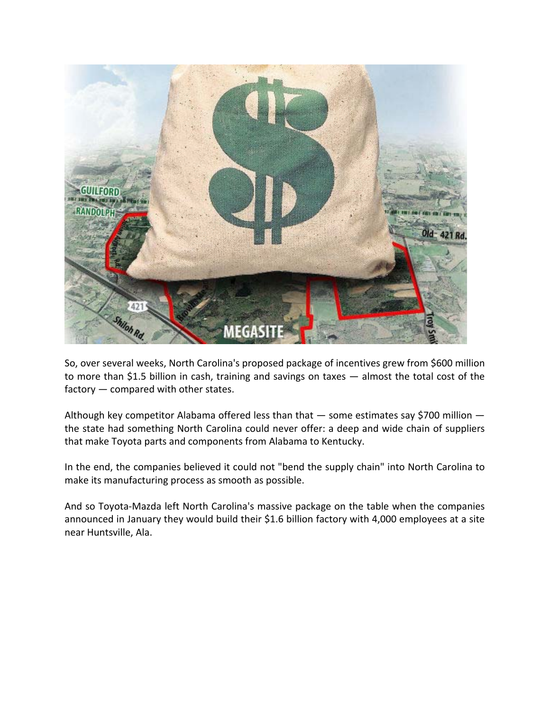

So, over several weeks, North Carolina's proposed package of incentives grew from \$600 million to more than \$1.5 billion in cash, training and savings on taxes — almost the total cost of the factory — compared with other states.

Although key competitor Alabama offered less than that — some estimates say \$700 million the state had something North Carolina could never offer: a deep and wide chain of suppliers that make Toyota parts and components from Alabama to Kentucky.

In the end, the companies believed it could not "bend the supply chain" into North Carolina to make its manufacturing process as smooth as possible.

And so Toyota‐Mazda left North Carolina's massive package on the table when the companies announced in January they would build their \$1.6 billion factory with 4,000 employees at a site near Huntsville, Ala.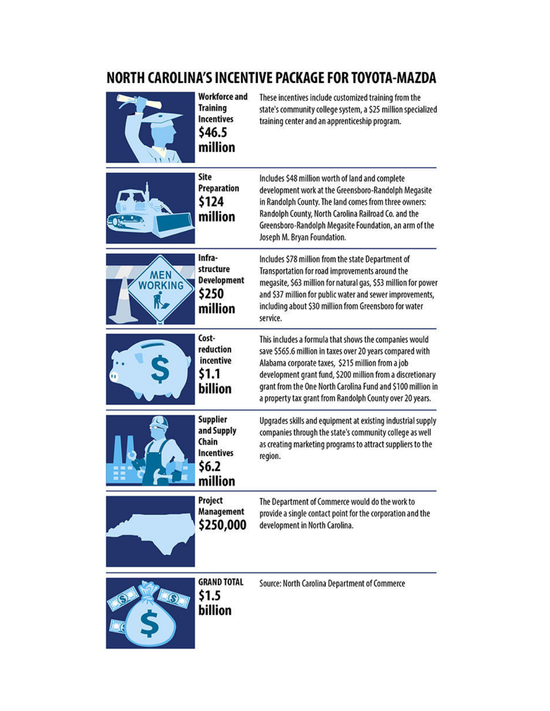## NORTH CAROLINA'S INCENTIVE PACKAGE FOR TOYOTA-MAZDA

|                              | <b>Workforce and</b><br><b>Training</b><br><b>Incentives</b><br>\$46.5<br>million | These incentives include customized training from the<br>state's community college system, a \$25 million specialized<br>training center and an apprenticeship program.                                                                                                                                                                                           |
|------------------------------|-----------------------------------------------------------------------------------|-------------------------------------------------------------------------------------------------------------------------------------------------------------------------------------------------------------------------------------------------------------------------------------------------------------------------------------------------------------------|
|                              | Site<br><b>Preparation</b><br>\$124<br>million                                    | Includes \$48 million worth of land and complete<br>development work at the Greensboro-Randolph Megasite<br>in Randolph County. The land comes from three owners:<br>Randolph County, North Carolina Railroad Co. and the<br>Greensboro-Randolph Megasite Foundation, an arm of the<br>Joseph M. Bryan Foundation.                                                |
| <b>MEN</b><br><b>WORKING</b> | Infra-<br>structure<br><b>Development</b><br>\$250<br>million                     | Includes \$78 million from the state Department of<br>Transportation for road improvements around the<br>megasite, \$63 million for natural gas, \$53 million for power<br>and \$37 million for public water and sewer improvements,<br>including about \$30 million from Greensboro for water<br>service.                                                        |
|                              | Cost-<br>reduction<br>incentive<br>\$1.1<br>billion                               | This includes a formula that shows the companies would<br>save \$565.6 million in taxes over 20 years compared with<br>Alabama corporate taxes, \$215 million from a job<br>development grant fund, \$200 million from a discretionary<br>grant from the One North Carolina Fund and \$100 million in<br>a property tax grant from Randolph County over 20 years. |
|                              | Supplier<br>and Supply<br>Chain<br><b>Incentives</b><br>\$6.2<br>million          | Upgrades skills and equipment at existing industrial supply<br>companies through the state's community college as well<br>as creating marketing programs to attract suppliers to the<br>region.                                                                                                                                                                   |
|                              | Project<br><b>Management</b><br>\$250,000                                         | The Department of Commerce would do the work to<br>provide a single contact point for the corporation and the<br>development in North Carolina.                                                                                                                                                                                                                   |
|                              | <b>GRAND TOTAL</b><br>\$1.5<br>billion                                            | Source: North Carolina Department of Commerce                                                                                                                                                                                                                                                                                                                     |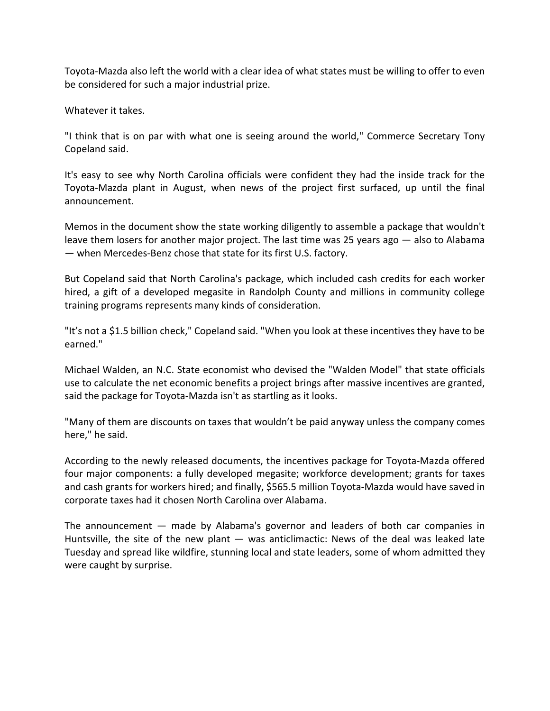Toyota‐Mazda also left the world with a clear idea of what states must be willing to offer to even be considered for such a major industrial prize.

Whatever it takes.

"I think that is on par with what one is seeing around the world," Commerce Secretary Tony Copeland said.

It's easy to see why North Carolina officials were confident they had the inside track for the Toyota‐Mazda plant in August, when news of the project first surfaced, up until the final announcement.

Memos in the document show the state working diligently to assemble a package that wouldn't leave them losers for another major project. The last time was 25 years ago — also to Alabama — when Mercedes‐Benz chose that state for its first U.S. factory.

But Copeland said that North Carolina's package, which included cash credits for each worker hired, a gift of a developed megasite in Randolph County and millions in community college training programs represents many kinds of consideration.

"It's not a \$1.5 billion check," Copeland said. "When you look at these incentives they have to be earned."

Michael Walden, an N.C. State economist who devised the "Walden Model" that state officials use to calculate the net economic benefits a project brings after massive incentives are granted, said the package for Toyota‐Mazda isn't as startling as it looks.

"Many of them are discounts on taxes that wouldn't be paid anyway unless the company comes here," he said.

According to the newly released documents, the incentives package for Toyota‐Mazda offered four major components: a fully developed megasite; workforce development; grants for taxes and cash grants for workers hired; and finally, \$565.5 million Toyota‐Mazda would have saved in corporate taxes had it chosen North Carolina over Alabama.

The announcement — made by Alabama's governor and leaders of both car companies in Huntsville, the site of the new plant  $-$  was anticlimactic: News of the deal was leaked late Tuesday and spread like wildfire, stunning local and state leaders, some of whom admitted they were caught by surprise.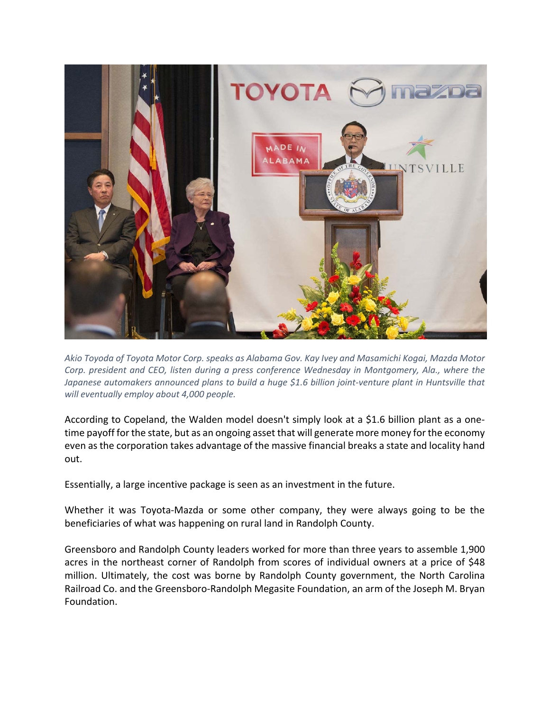

*Akio Toyoda of Toyota Motor Corp. speaks as Alabama Gov. Kay Ivey and Masamichi Kogai, Mazda Motor Corp. president and CEO, listen during a press conference Wednesday in Montgomery, Ala., where the Japanese automakers announced plans to build a huge \$1.6 billion joint‐venture plant in Huntsville that will eventually employ about 4,000 people.*

According to Copeland, the Walden model doesn't simply look at a \$1.6 billion plant as a one‐ time payoff for the state, but as an ongoing asset that will generate more money for the economy even as the corporation takes advantage of the massive financial breaks a state and locality hand out.

Essentially, a large incentive package is seen as an investment in the future.

Whether it was Toyota‐Mazda or some other company, they were always going to be the beneficiaries of what was happening on rural land in Randolph County.

Greensboro and Randolph County leaders worked for more than three years to assemble 1,900 acres in the northeast corner of Randolph from scores of individual owners at a price of \$48 million. Ultimately, the cost was borne by Randolph County government, the North Carolina Railroad Co. and the Greensboro‐Randolph Megasite Foundation, an arm of the Joseph M. Bryan Foundation.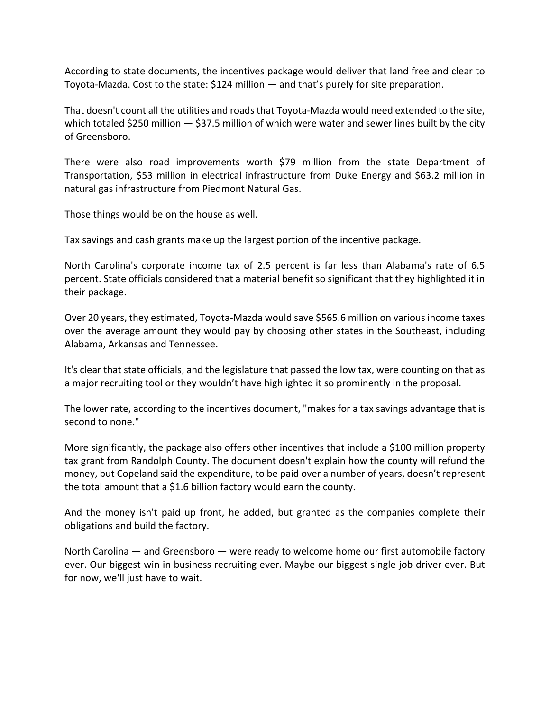According to state documents, the incentives package would deliver that land free and clear to Toyota‐Mazda. Cost to the state: \$124 million — and that's purely for site preparation.

That doesn't count all the utilities and roadsthat Toyota‐Mazda would need extended to the site, which totaled \$250 million  $-$  \$37.5 million of which were water and sewer lines built by the city of Greensboro.

There were also road improvements worth \$79 million from the state Department of Transportation, \$53 million in electrical infrastructure from Duke Energy and \$63.2 million in natural gas infrastructure from Piedmont Natural Gas.

Those things would be on the house as well.

Tax savings and cash grants make up the largest portion of the incentive package.

North Carolina's corporate income tax of 2.5 percent is far less than Alabama's rate of 6.5 percent. State officials considered that a material benefit so significant that they highlighted it in their package.

Over 20 years, they estimated, Toyota‐Mazda would save \$565.6 million on various income taxes over the average amount they would pay by choosing other states in the Southeast, including Alabama, Arkansas and Tennessee.

It's clear that state officials, and the legislature that passed the low tax, were counting on that as a major recruiting tool or they wouldn't have highlighted it so prominently in the proposal.

The lower rate, according to the incentives document, "makes for a tax savings advantage that is second to none."

More significantly, the package also offers other incentives that include a \$100 million property tax grant from Randolph County. The document doesn't explain how the county will refund the money, but Copeland said the expenditure, to be paid over a number of years, doesn't represent the total amount that a \$1.6 billion factory would earn the county.

And the money isn't paid up front, he added, but granted as the companies complete their obligations and build the factory.

North Carolina — and Greensboro — were ready to welcome home our first automobile factory ever. Our biggest win in business recruiting ever. Maybe our biggest single job driver ever. But for now, we'll just have to wait.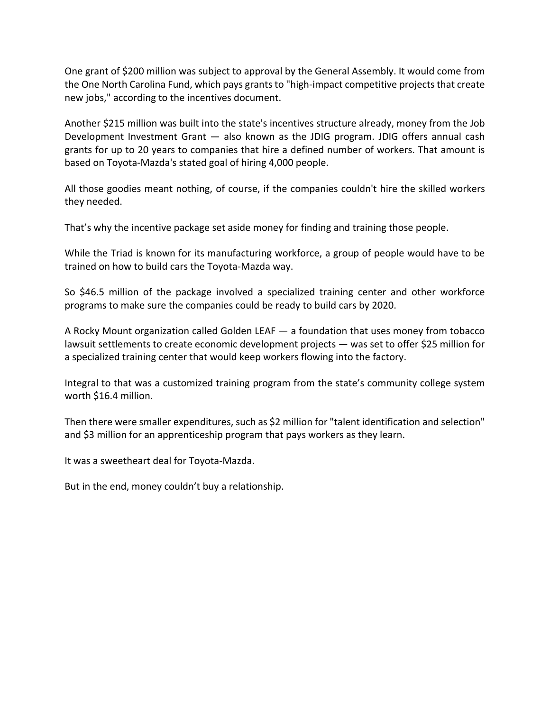One grant of \$200 million was subject to approval by the General Assembly. It would come from the One North Carolina Fund, which pays grants to "high‐impact competitive projects that create new jobs," according to the incentives document.

Another \$215 million was built into the state's incentives structure already, money from the Job Development Investment Grant — also known as the JDIG program. JDIG offers annual cash grants for up to 20 years to companies that hire a defined number of workers. That amount is based on Toyota‐Mazda's stated goal of hiring 4,000 people.

All those goodies meant nothing, of course, if the companies couldn't hire the skilled workers they needed.

That's why the incentive package set aside money for finding and training those people.

While the Triad is known for its manufacturing workforce, a group of people would have to be trained on how to build cars the Toyota‐Mazda way.

So \$46.5 million of the package involved a specialized training center and other workforce programs to make sure the companies could be ready to build cars by 2020.

A Rocky Mount organization called Golden LEAF — a foundation that uses money from tobacco lawsuit settlements to create economic development projects — was set to offer \$25 million for a specialized training center that would keep workers flowing into the factory.

Integral to that was a customized training program from the state's community college system worth \$16.4 million.

Then there were smaller expenditures, such as \$2 million for "talent identification and selection" and \$3 million for an apprenticeship program that pays workers as they learn.

It was a sweetheart deal for Toyota‐Mazda.

But in the end, money couldn't buy a relationship.